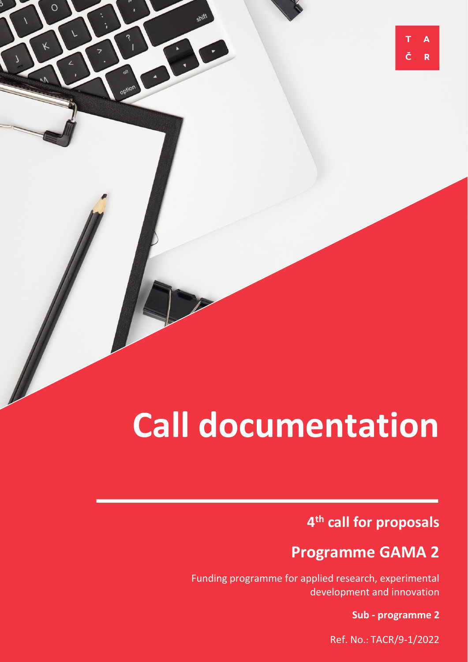# **Call documentation**

 $\circ$ 

# **4 th call for proposals**

# **Programme GAMA 2**

Funding programme for applied research, experimental development and innovation

**Sub - programme 2**

 $\overline{\mathsf{A}}$ 

R

Ref. No.: TACR/9-1/2022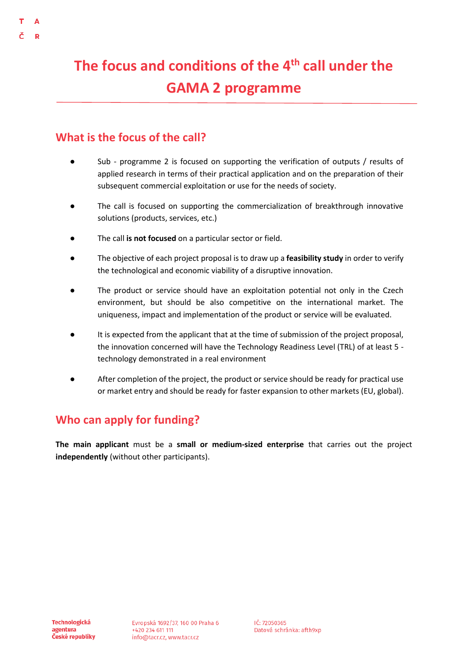# **The focus and conditions of the 4 th call under the GAMA 2 programme**

### **What is the focus of the call?**

- Sub programme 2 is focused on supporting the verification of outputs / results of applied research in terms of their practical application and on the preparation of their subsequent commercial exploitation or use for the needs of society.
- The call is focused on supporting the commercialization of breakthrough innovative solutions (products, services, etc.)
- The call **is not focused** on a particular sector or field.
- The objective of each project proposal is to draw up a **feasibility study** in order to verify the technological and economic viability of a disruptive innovation.
- The product or service should have an exploitation potential not only in the Czech environment, but should be also competitive on the international market. The uniqueness, impact and implementation of the product or service will be evaluated.
- It is expected from the applicant that at the time of submission of the project proposal, the innovation concerned will have the Technology Readiness Level (TRL) of at least 5 technology demonstrated in a real environment
- After completion of the project, the product or service should be ready for practical use or market entry and should be ready for faster expansion to other markets (EU, global).

### **Who can apply for funding?**

**The main applicant** must be a **small or medium-sized enterprise** that carries out the project **independently** (without other participants).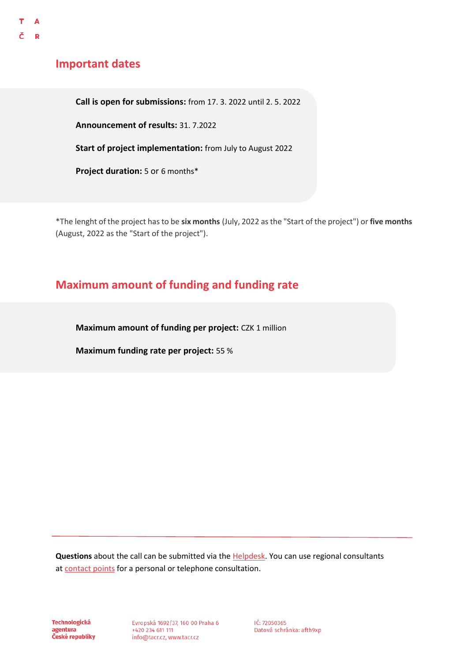### **Important dates**

**Call is open for submissions:** from 17. 3. 2022 until 2. 5. 2022

**Announcement of results:** 31. 7.2022

**Start of project implementation:** from July to August 2022

**Project duration:** 5 or 6 months\*

\*The lenght of the project has to be **six months** (July, 2022 as the "Start of the project") or **five months** (August, 2022 as the "Start of the project").

### **Maximum amount of funding and funding rate**

**Maximum amount of funding per project:** CZK 1 million

**Maximum funding rate per project:** 55 %

**Questions** about the call can be submitted via the [Helpdesk.](https://helpdesk.tacr.cz/) You can use regional consultants at [contact points](https://www.tacr.cz/o-nas/regionalni-kontaktni-mista/) for a personal or telephone consultation.

**Technologická** agentura České republiky Evropská 1692/37, 160 00 Praha 6 +420 234 611 111 info@tacr.cz, www.tacr.cz

IČ: 72050365 Datová schránka: afth9xp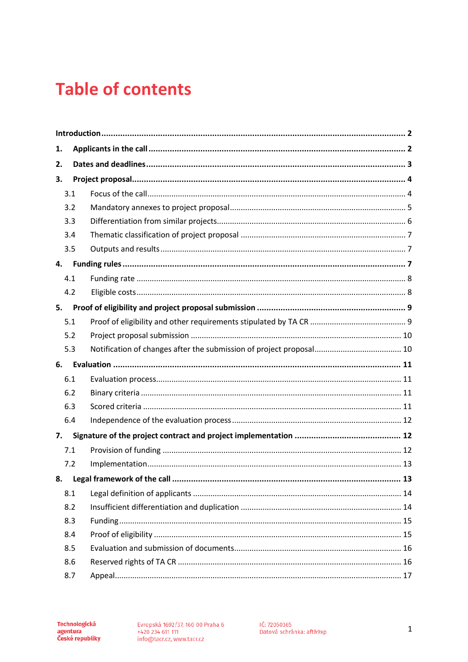# **Table of contents**

| 1.  |  |    |  |  |
|-----|--|----|--|--|
| 2.  |  |    |  |  |
| 3.  |  |    |  |  |
| 3.1 |  |    |  |  |
| 3.2 |  |    |  |  |
| 3.3 |  |    |  |  |
| 3.4 |  |    |  |  |
| 3.5 |  |    |  |  |
| 4.  |  |    |  |  |
| 4.1 |  |    |  |  |
| 4.2 |  |    |  |  |
| 5.  |  |    |  |  |
| 5.1 |  |    |  |  |
| 5.2 |  |    |  |  |
| 5.3 |  |    |  |  |
| 6.  |  |    |  |  |
| 6.1 |  |    |  |  |
| 6.2 |  |    |  |  |
| 6.3 |  |    |  |  |
| 6.4 |  |    |  |  |
| 7.  |  |    |  |  |
| 7.1 |  |    |  |  |
| 7.2 |  |    |  |  |
|     |  | 13 |  |  |
| 8.1 |  |    |  |  |
| 8.2 |  |    |  |  |
| 8.3 |  |    |  |  |
| 8.4 |  |    |  |  |
| 8.5 |  |    |  |  |
| 8.6 |  |    |  |  |
| 8.7 |  |    |  |  |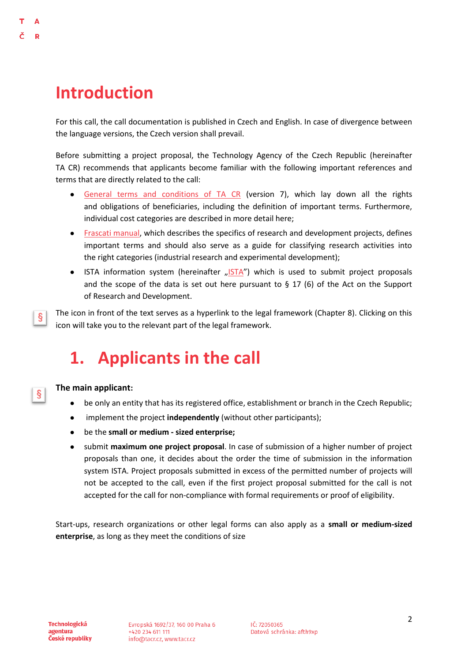# <span id="page-4-0"></span>**Introduction**

D

For this call, the call documentation is published in Czech and English. In case of divergence between the language versions, the Czech version shall prevail.

Before submitting a project proposal, the Technology Agency of the Czech Republic (hereinafter TA CR) recommends that applicants become familiar with the following important references and terms that are directly related to the call:

- [General terms and conditions of TA CR](https://www.tacr.cz/wp-content/uploads/documents/2021/12/12/1639268365_V%C5%A1eobecn%C3%A9%20podm%C3%ADnky%20v7.pdf) (version 7), which lay down all the rights and obligations of beneficiaries, including the definition of important terms. Furthermore, individual cost categories are described in more detail here;
- [Frascati manual,](https://www.tacr.cz/dokums_raw/novinky/170404_FRASCATI%20pdf_final_ke%20koment%C3%A1%C5%99%C5%AFm.pdf) which describes the specifics of research and development projects, defines important terms and should also serve as a guide for classifying research activities into the right categories (industrial research and experimental development);
- [ISTA](https://ista.tacr.cz/) information system (hereinafter "ISTA") which is used to submit project proposals and the scope of the data is set out here pursuant to  $\S 17$  (6) of the Act on the Support of Research and Development.

The icon in front of the text serves as a hyperlink to the legal framework (Chapter 8). Clicking on this ş icon will take you to the relevant part of the legal framework.

# <span id="page-4-1"></span>**1. Applicants in the call**

#### **The main applicant:**

ş

- be only an entity that has its registered office, establishment or branch in the Czech Republic;
- implement the project **independently** (without other participants);
- be the **small or medium - sized enterprise;**
- submit **maximum one project proposal**. In case of submission of a higher number of project proposals than one, it decides about the order the time of submission in the information system ISTA. Project proposals submitted in excess of the permitted number of projects will not be accepted to the call, even if the first project proposal submitted for the call is not accepted for the call for non-compliance with formal requirements or proof of eligibility.

Start-ups, research organizations or other legal forms can also apply as a **small or medium-sized enterprise**, as long as they meet the conditions of size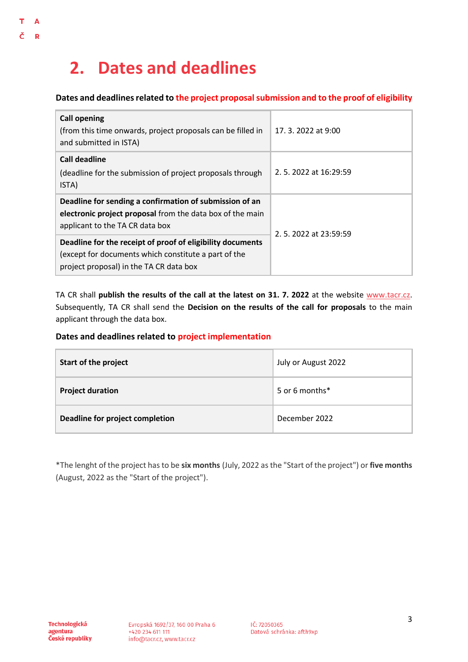# <span id="page-5-0"></span>**2. Dates and deadlines**

T  $\overline{\mathsf{A}}$ 

Č  $\overline{\mathbf{R}}$ 

#### **Dates and deadlines related to the project proposal submission and to the proof of eligibility**

| <b>Call opening</b><br>(from this time onwards, project proposals can be filled in<br>and submitted in ISTA)                                                  | 17, 3, 2022 at 9:00  |  |
|---------------------------------------------------------------------------------------------------------------------------------------------------------------|----------------------|--|
| Call deadline<br>(deadline for the submission of project proposals through<br>ISTA)                                                                           | 2.5.2022 at 16:29:59 |  |
| Deadline for sending a confirmation of submission of an<br>electronic project proposal from the data box of the main<br>applicant to the TA CR data box       | 2.5.2022 at 23:59:59 |  |
| Deadline for the receipt of proof of eligibility documents<br>(except for documents which constitute a part of the<br>project proposal) in the TA CR data box |                      |  |

TA CR shall **publish the results of the call at the latest on 31. 7. 2022** at the website [www.tacr.cz.](http://www.tacr.cz/) Subsequently, TA CR shall send the **Decision on the results of the call for proposals** to the main applicant through the data box.

#### **Dates and deadlines related to project implementation**

| Start of the project            | July or August 2022 |
|---------------------------------|---------------------|
| <b>Project duration</b>         | 5 or 6 months*      |
| Deadline for project completion | December 2022       |

\*The lenght of the project has to be **six months** (July, 2022 as the "Start of the project") or **five months** (August, 2022 as the "Start of the project").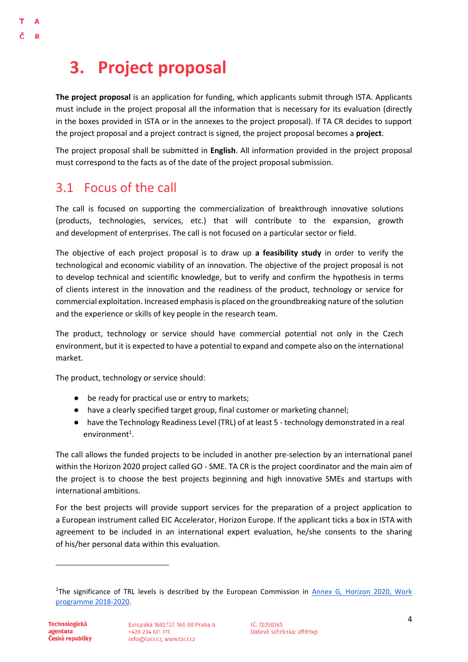# <span id="page-6-0"></span>**3. Project proposal**

**The project proposal** is an application for funding, which applicants submit through ISTA. Applicants must include in the project proposal all the information that is necessary for its evaluation (directly in the boxes provided in ISTA or in the annexes to the project proposal). If TA CR decides to support the project proposal and a project contract is signed, the project proposal becomes a **project**.

The project proposal shall be submitted in **English**. All information provided in the project proposal must correspond to the facts as of the date of the project proposal submission.

### <span id="page-6-1"></span>3.1 Focus of the call

R

The call is focused on supporting the commercialization of breakthrough innovative solutions (products, technologies, services, etc.) that will contribute to the expansion, growth and development of enterprises. The call is not focused on a particular sector or field.

The objective of each project proposal is to draw up **a feasibility study** in order to verify the technological and economic viability of an innovation. The objective of the project proposal is not to develop technical and scientific knowledge, but to verify and confirm the hypothesis in terms of clients interest in the innovation and the readiness of the product, technology or service for commercial exploitation. Increased emphasis is placed on the groundbreaking nature of the solution and the experience or skills of key people in the research team.

The product, technology or service should have commercial potential not only in the Czech environment, but it is expected to have a potential to expand and compete also on the international market.

The product, technology or service should:

- be ready for practical use or entry to markets;
- have a clearly specified target group, final customer or marketing channel;
- have the Technology Readiness Level (TRL) of at least 5 technology demonstrated in a real environment $^1$ .

The call allows the funded projects to be included in another pre-selection by an international panel within the Horizon 2020 project called GO - SME. TA CR is the project coordinator and the main aim of the project is to choose the best projects beginning and high innovative SMEs and startups with international ambitions.

For the best projects will provide support services for the preparation of a project application to a European instrument called EIC Accelerator, Horizon Europe. If the applicant ticks a box in ISTA with agreement to be included in an international expert evaluation, he/she consents to the sharing of his/her personal data within this evaluation.

<sup>&</sup>lt;sup>1</sup>The significance of TRL levels is described by the European Commission in Annex G, Horizon 2020, Work [programme 2018-2020.](https://ec.europa.eu/research/participants/data/ref/h2020/wp/2014_2015/annexes/h2020-wp1415-annex-g-trl_en.pdf)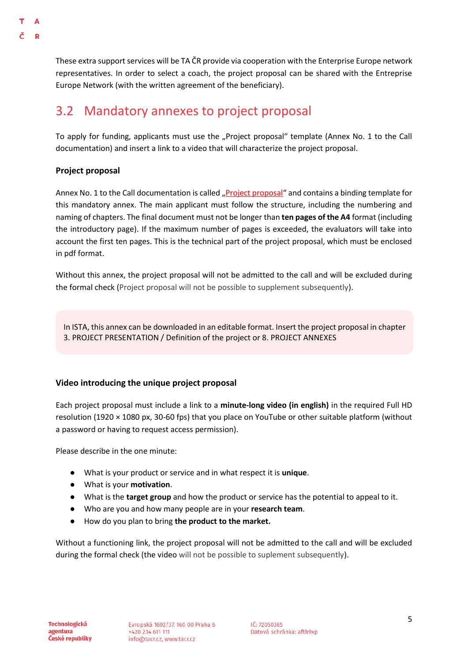These extra support services will be TA ČR provide via cooperation with the Enterprise Europe network representatives. In order to select a coach, the project proposal can be shared with the Entreprise Europe Network (with the written agreement of the beneficiary).

# <span id="page-7-0"></span>3.2 Mandatory annexes to project proposal

To apply for funding, applicants must use the "Project proposal" template (Annex No. 1 to the Call documentation) and insert a link to a video that will characterize the project proposal.

#### **Project proposal**

Annex No. 1 to the Call documentation is called "[Project proposal](https://www.tacr.cz/dokumenty/priloha-c-1-project-proposal-1)" and contains a binding template for this mandatory annex. The main applicant must follow the structure, including the numbering and naming of chapters. The final document must not be longer than **ten pages of the A4** format (including the introductory page). If the maximum number of pages is exceeded, the evaluators will take into account the first ten pages. This is the technical part of the project proposal, which must be enclosed in pdf format.

Without this annex, the project proposal will not be admitted to the call and will be excluded during the formal check (Project proposal will not be possible to supplement subsequently).

In ISTA, this annex can be downloaded in an editable format. Insert the project proposal in chapter 3. PROJECT PRESENTATION / Definition of the project or 8. PROJECT ANNEXES

#### **Video introducing the unique project proposal**

Each project proposal must include a link to a **minute-long video (in english)** in the required Full HD resolution (1920 × 1080 px, 30-60 fps) that you place on YouTube or other suitable platform (without a password or having to request access permission).

Please describe in the one minute:

- What is your product or service and in what respect it is **unique**.
- What is your **motivation**.
- What is the **target group** and how the product or service has the potential to appeal to it.
- Who are you and how many people are in your **research team**.
- How do you plan to bring **the product to the market.**

Without a functioning link, the project proposal will not be admitted to the call and will be excluded during the formal check (the video will not be possible to suplement subsequently).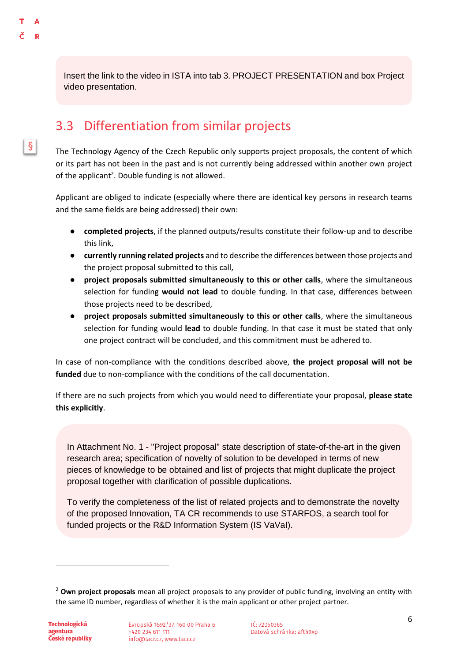$\S$ 

Insert the link to the video in ISTA into tab 3. PROJECT PRESENTATION and box Project video presentation.

### <span id="page-8-0"></span>3.3 Differentiation from similar projects

The Technology Agency of the Czech Republic only supports project proposals, the content of which or its part has not been in the past and is not currently being addressed within another own project of the applicant<sup>2</sup>. Double funding is not allowed.

Applicant are obliged to indicate (especially where there are identical key persons in research teams and the same fields are being addressed) their own:

- **completed projects**, if the planned outputs/results constitute their follow-up and to describe this link,
- **currently running related projects** and to describe the differences between those projects and the project proposal submitted to this call,
- **project proposals submitted simultaneously to this or other calls**, where the simultaneous selection for funding **would not lead** to double funding. In that case, differences between those projects need to be described,
- **project proposals submitted simultaneously to this or other calls**, where the simultaneous selection for funding would **lead** to double funding. In that case it must be stated that only one project contract will be concluded, and this commitment must be adhered to.

In case of non-compliance with the conditions described above, **the project proposal will not be funded** due to non-compliance with the conditions of the call documentation.

If there are no such projects from which you would need to differentiate your proposal, **please state this explicitly**.

In Attachment No. 1 - "Project proposal" state description of state-of-the-art in the given research area; specification of novelty of solution to be developed in terms of new pieces of knowledge to be obtained and list of projects that might duplicate the project proposal together with clarification of possible duplications.

To verify the completeness of the list of related projects and to demonstrate the novelty of the proposed Innovation, TA CR recommends to use STARFOS, a search tool for funded projects or the R&D Information System (IS VaVaI).

<sup>2</sup> **Own project proposals** mean all project proposals to any provider of public funding, involving an entity with the same ID number, regardless of whether it is the main applicant or other project partner.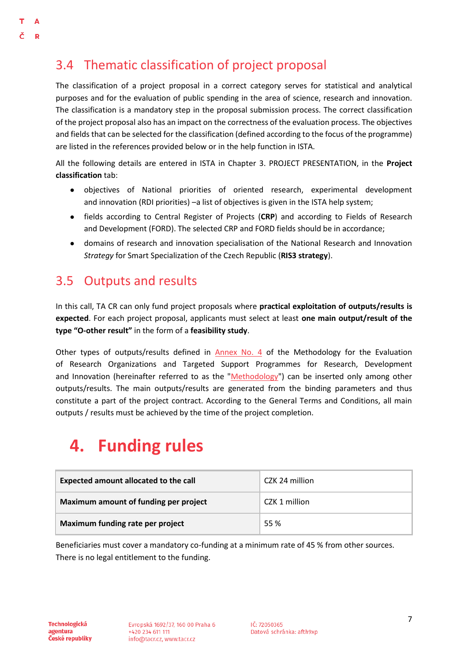# <span id="page-9-0"></span>3.4 Thematic classification of project proposal

The classification of a project proposal in a correct category serves for statistical and analytical purposes and for the evaluation of public spending in the area of science, research and innovation. The classification is a mandatory step in the proposal submission process. The correct classification of the project proposal also has an impact on the correctness of the evaluation process. The objectives and fields that can be selected for the classification (defined according to the focus of the programme) are listed in the references provided below or in the help function in ISTA.

All the following details are entered in ISTA in Chapter 3. PROJECT PRESENTATION, in the **Project classification** tab:

- objectives of National priorities of oriented research, experimental development and innovation (RDI priorities) –a list of objectives is given in the ISTA help system;
- fields according to Central Register of Projects (**CRP**) and according to Fields of Research and Development [\(FORD\)](http://www.vyzkum.cz/storage/att/98E57750704C86E383E673EC6E7D05A6/Ciselnik_oboru_Frascati_v20171207web.pdf). The selected CRP and FORD fields should be in accordance;
- domains of research and innovation specialisation of the National Research and Innovation *Strategy* for Smart Specialization of the Czech Republic (**RIS3 strategy**).

### <span id="page-9-1"></span>3.5 Outputs and results

In this call, TA CR can only fund project proposals where **practical exploitation of outputs/results is expected**. For each project proposal, applicants must select at least **one main output/result of the type "O-other result"** in the form of a **feasibility study**.

Other types of outputs/results defined in [Annex No. 4](https://www.vyzkum.cz/FrontClanek.aspx?idsekce=799796&ad=1&attid=847689) of the Methodology for the Evaluation of Research Organizations and Targeted Support Programmes for Research, Development and Innovation (hereinafter referred to as the ["Methodology"](https://www.vyzkum.cz/FrontClanek.aspx?idsekce=799796&ad=1&attid=847689)) can be inserted only among other outputs/results. The main outputs/results are generated from the binding parameters and thus constitute a part of the project contract. According to the General Terms and Conditions, all main outputs / results must be achieved by the time of the project completion.

# <span id="page-9-2"></span>**4. Funding rules**

| Expected amount allocated to the call | CZK 24 million |
|---------------------------------------|----------------|
| Maximum amount of funding per project | CZK 1 million  |
| Maximum funding rate per project      | 55 %           |

Beneficiaries must cover a mandatory co-funding at a minimum rate of 45 % from other sources. There is no legal entitlement to the funding.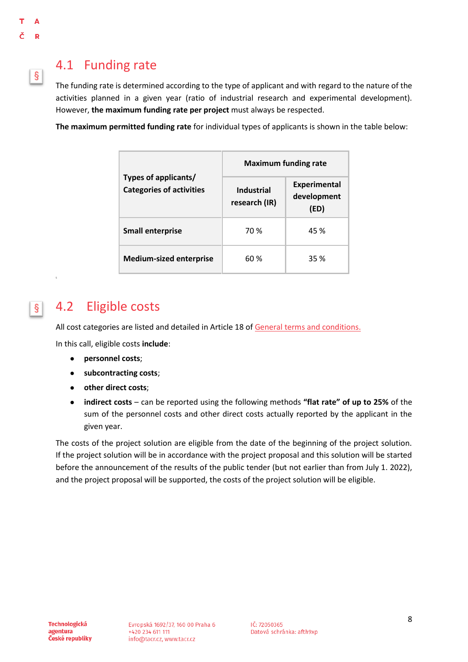<span id="page-10-1"></span> $\vert$ 

 $|\S|$ 

### <span id="page-10-0"></span>4.1 Funding rate

The funding rate is determined according to the type of applicant and with regard to the nature of the activities planned in a given year (ratio of industrial research and experimental development). However, **the maximum funding rate per project** must always be respected.

**The maximum permitted funding rate** for individual types of applicants is shown in the table below:

|                                                         | <b>Maximum funding rate</b>        |                                            |  |
|---------------------------------------------------------|------------------------------------|--------------------------------------------|--|
| Types of applicants/<br><b>Categories of activities</b> | <b>Industrial</b><br>research (IR) | <b>Experimental</b><br>development<br>(ED) |  |
| <b>Small enterprise</b>                                 | 70 %                               | 45 %                                       |  |
| <b>Medium-sized enterprise</b>                          | 60 %                               | 35 %                                       |  |

# 4.2 Eligible costs

All cost categories are listed and detailed in Article 18 of [General terms and conditions.](https://www.tacr.cz/wp-content/uploads/documents/2021/12/12/1639268365_V%C5%A1eobecn%C3%A9%20podm%C3%ADnky%20v7.pdf)

In this call, eligible costs **include**:

- **personnel costs**;
- **subcontracting costs**;
- **other direct costs**;
- **indirect costs** can be reported using the following methods **"flat rate" of up to 25%** of the sum of the personnel costs and other direct costs actually reported by the applicant in the given year.

The costs of the project solution are eligible from the date of the beginning of the project solution. If the project solution will be in accordance with the project proposal and this solution will be started before the announcement of the results of the public tender (but not earlier than from July 1. 2022), and the project proposal will be supported, the costs of the project solution will be eligible.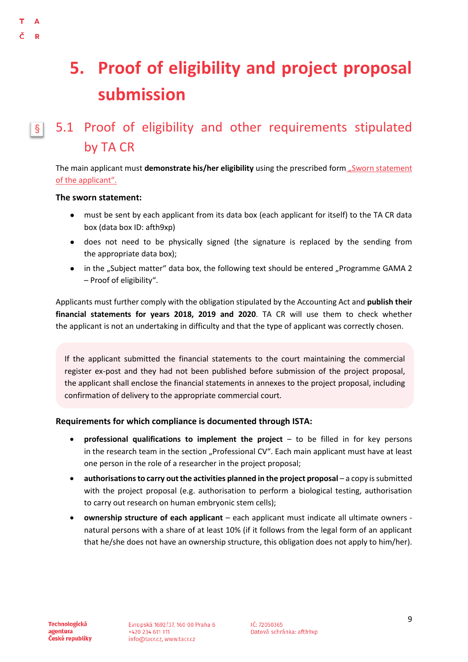#### <span id="page-11-1"></span>Δ Ð

# <span id="page-11-0"></span>**5. Proof of eligibility and project proposal submission**

#### 5.1 Proof of eligibility and other requirements stipulated  $\vert$ by TA CR

The main applicant must **demonstrate his/her eligibility** using the prescribed form "Sworn statement [of the applicant".](https://www.tacr.cz/dokumenty/cestne-prohlaseni-za-uchazece-sworn-statement-of-the-applicant-9)

#### **The sworn statement:**

- must be sent by each applicant from its data box (each applicant for itself) to the TA CR data box (data box ID: afth9xp)
- does not need to be physically signed (the signature is replaced by the sending from the appropriate data box);
- in the "Subject matter" data box, the following text should be entered "Programme GAMA 2 – Proof of eligibility".

Applicants must further comply with the obligation stipulated by the Accounting Act and **publish their financial statements for years 2018, 2019 and 2020**. TA CR will use them to check whether the applicant is not an undertaking in difficulty and that the type of applicant was correctly chosen.

If the applicant submitted the financial statements to the court maintaining the commercial register ex-post and they had not been published before submission of the project proposal, the applicant shall enclose the financial statements in annexes to the project proposal, including confirmation of delivery to the appropriate commercial court.

#### **Requirements for which compliance is documented through ISTA:**

- **professional qualifications to implement the project** to be filled in for key persons in the research team in the section "Professional CV". Each main applicant must have at least one person in the role of a researcher in the project proposal;
- authorisations to carry out the activities planned in the project proposal a copy is submitted with the project proposal (e.g. authorisation to perform a biological testing, authorisation to carry out research on human embryonic stem cells);
- **ownership structure of each applicant**  each applicant must indicate all ultimate owners natural persons with a share of at least 10% (if it follows from the legal form of an applicant that he/she does not have an ownership structure, this obligation does not apply to him/her).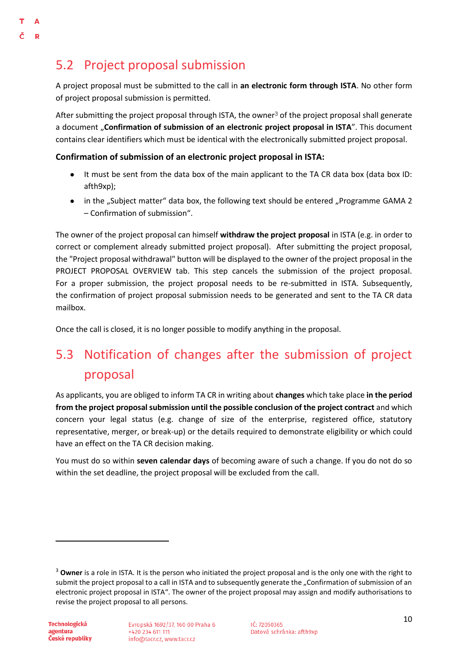# <span id="page-12-0"></span>5.2 Project proposal submission

A project proposal must be submitted to the call in **an electronic form through ISTA**. No other form of project proposal submission is permitted.

After submitting the project proposal through ISTA, the owner<sup>3</sup> of the project proposal shall generate a document "**Confirmation of submission of an electronic project proposal in ISTA**". This document contains clear identifiers which must be identical with the electronically submitted project proposal.

**Confirmation of submission of an electronic project proposal in ISTA:**

- It must be sent from the data box of the main applicant to the TA CR data box (data box ID: afth9xp);
- in the "Subject matter" data box, the following text should be entered "Programme GAMA 2 – Confirmation of submission".

The owner of the project proposal can himself **withdraw the project proposal** in ISTA (e.g. in order to correct or complement already submitted project proposal). After submitting the project proposal, the "Project proposal withdrawal" button will be displayed to the owner of the project proposal in the PROJECT PROPOSAL OVERVIEW tab. This step cancels the submission of the project proposal. For a proper submission, the project proposal needs to be re-submitted in ISTA. Subsequently, the confirmation of project proposal submission needs to be generated and sent to the TA CR data mailbox.

Once the call is closed, it is no longer possible to modify anything in the proposal.

# <span id="page-12-1"></span>5.3 Notification of changes after the submission of project proposal

As applicants, you are obliged to inform TA CR in writing about **changes** which take place **in the period from the project proposal submission until the possible conclusion of the project contract** and which concern your legal status (e.g. change of size of the enterprise, registered office, statutory representative, merger, or break-up) or the details required to demonstrate eligibility or which could have an effect on the TA CR decision making.

You must do so within **seven calendar days** of becoming aware of such a change. If you do not do so within the set deadline, the project proposal will be excluded from the call.

<sup>&</sup>lt;sup>3</sup> Owner is a role in ISTA. It is the person who initiated the project proposal and is the only one with the right to submit the project proposal to a call in ISTA and to subsequently generate the "Confirmation of submission of an electronic project proposal in ISTA". The owner of the project proposal may assign and modify authorisations to revise the project proposal to all persons.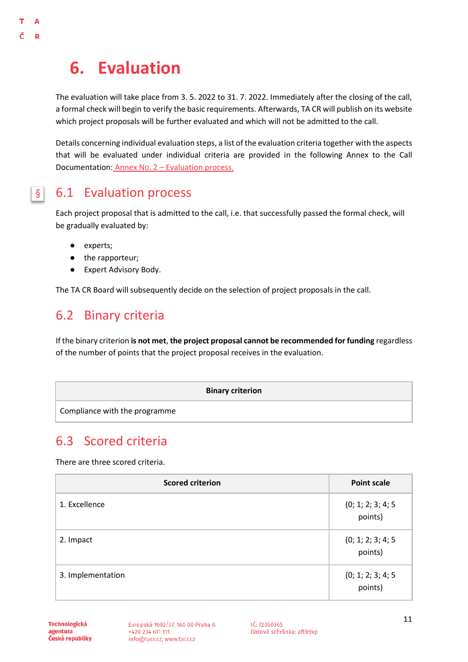# <span id="page-13-0"></span>**6. Evaluation**

A R

> The evaluation will take place from 3. 5. 2022 to 31. 7. 2022. Immediately after the closing of the call, a formal check will begin to verify the basic requirements. Afterwards, TA CR will publish on its website which project proposals will be further evaluated and which will not be admitted to the call.

> Details concerning individual evaluation steps, a list of the evaluation criteria together with the aspects that will be evaluated under individual criteria are provided in the following Annex to the Call Documentation: [Annex No. 2](https://www.tacr.cz/wp-content/uploads/documents/2022/03/14/1647253835_Annex%20No.%202%20-%20Evaluation%20process%20(GAMA%202,%204.%20VS)_EN.pdf) – Evaluation process.

#### 6.1 Evaluation process  $\vert \S \vert$

<span id="page-13-1"></span>Each project proposal that is admitted to the call, i.e. that successfully passed the formal check, will be gradually evaluated by:

- experts;
- the rapporteur;
- Expert Advisory Body.

The TA CR Board will subsequently decide on the selection of project proposals in the call.

### <span id="page-13-2"></span>6.2 Binary criteria

If the binary criterion **is not met**, **the project proposal cannot be recommended for funding** regardless of the number of points that the project proposal receives in the evaluation.

|                               | <b>Binary criterion</b> |
|-------------------------------|-------------------------|
| Compliance with the programme |                         |

### <span id="page-13-3"></span>6.3 Scored criteria

There are three scored criteria.

| <b>Scored criterion</b> | <b>Point scale</b>            |
|-------------------------|-------------------------------|
| 1. Excellence           | (0; 1; 2; 3; 4; 5)<br>points) |
| 2. Impact               | (0; 1; 2; 3; 4; 5)<br>points) |
| 3. Implementation       | (0; 1; 2; 3; 4; 5)<br>points) |

Technologická agentura České republiky Evropská 1692/37, 160 00 Praha 6 +420 234 611 111 info@tacr.cz, www.tacr.cz

IČ: 72050365 Datová schránka: afth9xp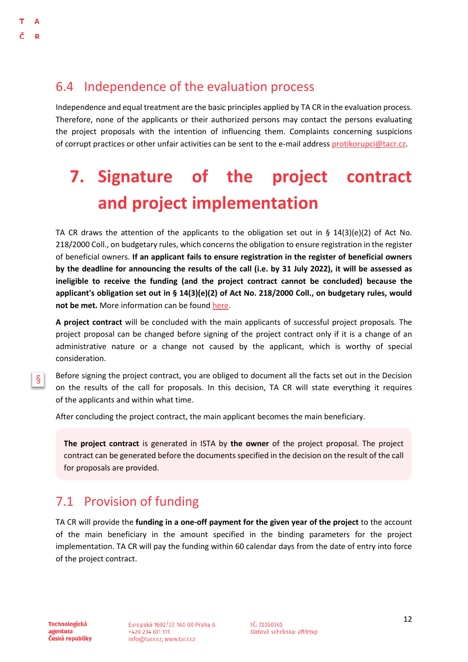### <span id="page-14-0"></span>6.4 Independence of the evaluation process

Independence and equal treatment are the basic principles applied by TA CR in the evaluation process. Therefore, none of the applicants or their authorized persons may contact the persons evaluating the project proposals with the intention of influencing them. Complaints concerning suspicions of corrupt practices or other unfair activities can be sent to the e-mail address [protikorupci@tacr.cz.](http://protikorupci@tacr.cz)

# <span id="page-14-1"></span>**7. Signature of the project contract and project implementation**

TA CR draws the attention of the applicants to the obligation set out in §  $14(3)(e)(2)$  of Act No. 218/2000 Coll., on budgetary rules, which concerns the obligation to ensure registration in the register of beneficial owners. **If an applicant fails to ensure registration in the register of beneficial owners by the deadline for announcing the results of the call (i.e. by 31 July 2022), it will be assessed as ineligible to receive the funding (and the project contract cannot be concluded) because the applicant's obligation set out in § 14(3)(e)(2) of Act No. 218/2000 Coll., on budgetary rules, would not be met.** More information can be found [here.](https://esm.justice.cz/ias/issm/napoveda#zapisSM)

**A project contract** will be concluded with the main applicants of successful project proposals. The project proposal can be changed before signing of the project contract only if it is a change of an administrative nature or a change not caused by the applicant, which is worthy of special consideration.

§.

Before signing the project contract, you are obliged to document all the facts set out in the Decision on the results of the call for proposals. In this decision, TA CR will state everything it requires of the applicants and within what time.

After concluding the project contract, the main applicant becomes the main beneficiary.

**The project contract** is generated in ISTA by **the owner** of the project proposal. The project contract can be generated before the documents specified in the decision on the result of the call for proposals are provided.

# <span id="page-14-2"></span>7.1 Provision of funding

TA CR will provide the **funding in a one-off payment for the given year of the project** to the account of the main beneficiary in the amount specified in the binding parameters for the project implementation. TA CR will pay the funding within 60 calendar days from the date of entry into force of the project contract.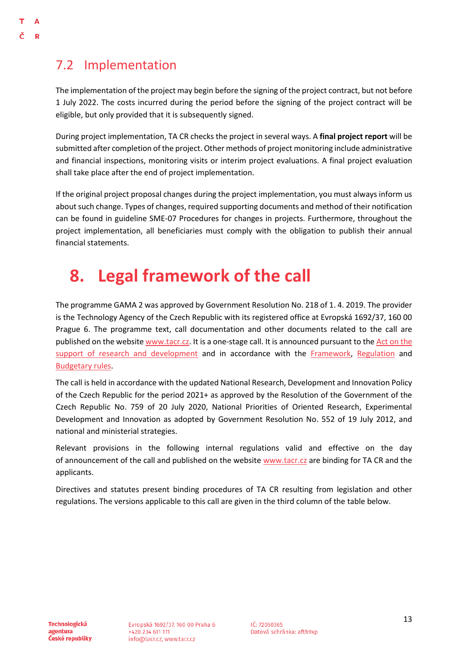# <span id="page-15-0"></span>7.2 Implementation

Δ Þ

> The implementation of the project may begin before the signing of the project contract, but not before 1 July 2022. The costs incurred during the period before the signing of the project contract will be eligible, but only provided that it is subsequently signed.

> During project implementation, TA CR checks the project in several ways. A **final project report** will be submitted after completion of the project. Other methods of project monitoring include administrative and financial inspections, monitoring visits or interim project evaluations. A final project evaluation shall take place after the end of project implementation.

> If the original project proposal changes during the project implementation, you must always inform us about such change. Types of changes, required supporting documents and method of their notification can be found in guideline SME-07 Procedures for changes in projects. Furthermore, throughout the project implementation, all beneficiaries must comply with the obligation to publish their annual financial statements.

# <span id="page-15-1"></span>**8. Legal framework of the call**

The programme GAMA 2 was approved by Government Resolution No. 218 of 1. 4. 2019. The provider is the Technology Agency of the Czech Republic with its registered office at Evropská 1692/37, 160 00 Prague 6. The programme text, call documentation and other documents related to the call are published on the websit[e www.tacr.cz.](http://www.tacr.cz/) It is a one-stage call. It is announced pursuant to th[e Act on the](http://www.vyzkum.cz/storage/att/BB743D4E2B61E95FA36D7DADD47BE704/Z%C3%A1kon_130_2002.pdf)  [support of research and development](http://www.vyzkum.cz/storage/att/BB743D4E2B61E95FA36D7DADD47BE704/Z%C3%A1kon_130_2002.pdf) and in accordance with the [Framework,](https://eur-lex.europa.eu/legal-content/CS/TXT/?qid=1412338382197&uri=CELEX:52014XC0627(01)) [Regulation](https://eur-lex.europa.eu/legal-content/CS/TXT/?qid=1412338347983&uri=CELEX:32014R0651) and [Budgetary rules.](https://www.zakonyprolidi.cz/cs/2000-218)

The call is held in accordance with the updated National Research, Development and Innovation Policy of the Czech Republic for the period 2021+ as approved by the Resolution of the Government of the Czech Republic No. 759 of 20 July 2020, National Priorities of Oriented Research, Experimental Development and Innovation as adopted by Government Resolution No. 552 of 19 July 2012, and national and ministerial strategies.

Relevant provisions in the following internal regulations valid and effective on the day of announcement of the call and published on the website [www.tacr.cz](https://www.tacr.cz/) are binding for TA CR and the applicants.

Directives and statutes present binding procedures of TA CR resulting from legislation and other regulations. The versions applicable to this call are given in the third column of the table below.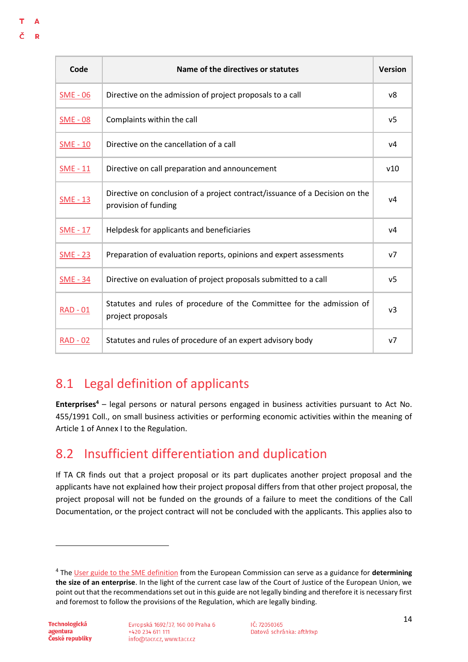#### т Δ

|   | u |
|---|---|
|   |   |
| × |   |

| Code            | Name of the directives or statutes                                                                  | <b>Version</b> |
|-----------------|-----------------------------------------------------------------------------------------------------|----------------|
| $SME - 06$      | Directive on the admission of project proposals to a call                                           | v8             |
| <b>SME - 08</b> | Complaints within the call                                                                          | v5             |
| $SME - 10$      | Directive on the cancellation of a call                                                             | V <sub>4</sub> |
| $SME - 11$      | Directive on call preparation and announcement                                                      | v10            |
| <b>SME - 13</b> | Directive on conclusion of a project contract/issuance of a Decision on the<br>provision of funding | V <sub>4</sub> |
| <b>SME - 17</b> | Helpdesk for applicants and beneficiaries                                                           | V <sub>4</sub> |
| <b>SME - 23</b> | Preparation of evaluation reports, opinions and expert assessments                                  | v7             |
| <b>SME - 34</b> | Directive on evaluation of project proposals submitted to a call                                    | v <sub>5</sub> |
| $RAD - 01$      | Statutes and rules of procedure of the Committee for the admission of<br>project proposals          | v <sub>3</sub> |
| <u>RAD - 02</u> | Statutes and rules of procedure of an expert advisory body                                          | v7             |

# <span id="page-16-0"></span>8.1 Legal definition of applicants

**Enterprises<sup>4</sup>** – legal persons or natural persons engaged in business activities pursuant to Act No. 455/1991 Coll., on small business activities or performing economic activities within the meaning of Article 1 of Annex I to the Regulation.

# <span id="page-16-1"></span>8.2 Insufficient differentiation and duplication

If TA CR finds out that a project proposal or its part duplicates another project proposal and the applicants have not explained how their project proposal differs from that other project proposal, the project proposal will not be funded on the grounds of a failure to meet the conditions of the Call Documentation, or the project contract will not be concluded with the applicants. This applies also to

<sup>4</sup> The [User guide to the SME definition](https://op.europa.eu/cs/publication-detail/-/publication/756d9260-ee54-11ea-991b-01aa75ed71a1/language-cs) from the European Commission can serve as a guidance for **determining the size of an enterprise**. In the light of the current case law of the Court of Justice of the European Union, we point out that the recommendations set out in this guide are not legally binding and therefore it is necessary first and foremost to follow the provisions of the Regulation, which are legally binding.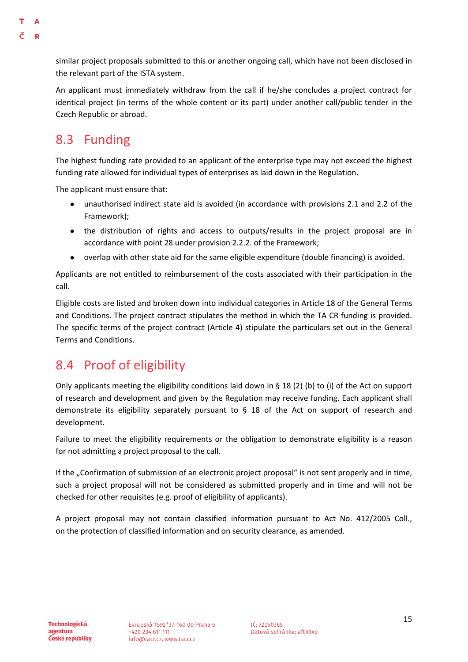#### similar project proposals submitted to this or another ongoing call, which have not been disclosed in the relevant part of the ISTA system.

An applicant must immediately withdraw from the call if he/she concludes a project contract for identical project (in terms of the whole content or its part) under another call/public tender in the Czech Republic or abroad.

# <span id="page-17-0"></span>8.3 Funding

D

The highest funding rate provided to an applicant of the enterprise type may not exceed the highest funding rate allowed for individual types of enterprises as laid down in the Regulation.

The applicant must ensure that:

- unauthorised indirect state aid is avoided (in accordance with provisions 2.1 and 2.2 of the Framework);
- the distribution of rights and access to outputs/results in the project proposal are in accordance with point 28 under provision 2.2.2. of the Framework;
- overlap with other state aid for the same eligible expenditure (double financing) is avoided.

Applicants are not entitled to reimbursement of the costs associated with their participation in the call.

Eligible costs are listed and broken down into individual categories in Article 18 of the General Terms and Conditions. The project contract stipulates the method in which the TA CR funding is provided. The specific terms of the project contract (Article 4) stipulate the particulars set out in the General Terms and Conditions.

### <span id="page-17-1"></span>8.4 Proof of eligibility

Only applicants meeting the eligibility conditions laid down in § 18 (2) (b) to (i) of the Act on support of research and development and given by the Regulation may receive funding. Each applicant shall demonstrate its eligibility separately pursuant to § 18 of the Act on support of research and development.

Failure to meet the eligibility requirements or the obligation to demonstrate eligibility is a reason for not admitting a project proposal to the call.

If the "Confirmation of submission of an electronic project proposal" is not sent properly and in time, such a project proposal will not be considered as submitted properly and in time and will not be checked for other requisites (e.g. proof of eligibility of applicants).

A project proposal may not contain classified information pursuant to Act No. 412/2005 Coll., on the protection of classified information and on security clearance, as amended.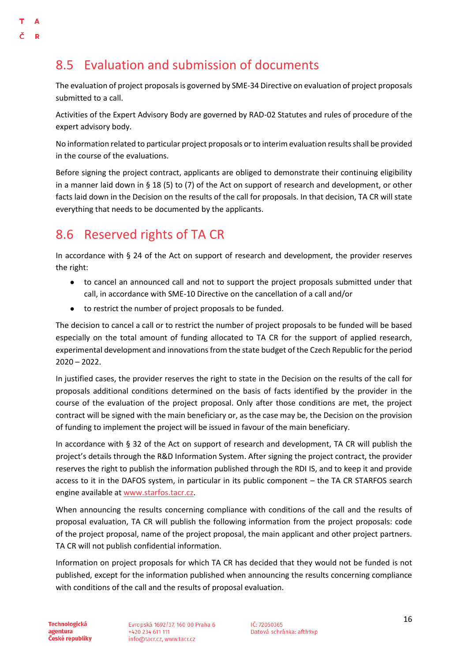# <span id="page-18-0"></span>8.5 Evaluation and submission of documents

The evaluation of project proposals is governed by SME-34 Directive on evaluation of project proposals submitted to a call.

Activities of the Expert Advisory Body are governed by RAD-02 Statutes and rules of procedure of the expert advisory body.

No information related to particular project proposals or to interim evaluation results shall be provided in the course of the evaluations.

Before signing the project contract, applicants are obliged to demonstrate their continuing eligibility in a manner laid down in § 18 (5) to (7) of the Act on support of research and development, or other facts laid down in the Decision on the results of the call for proposals. In that decision, TA CR will state everything that needs to be documented by the applicants.

# <span id="page-18-1"></span>8.6 Reserved rights of TA CR

In accordance with § 24 of the Act on support of research and development, the provider reserves the right:

- to cancel an announced call and not to support the project proposals submitted under that call, in accordance with SME-10 Directive on the cancellation of a call and/or
- to restrict the number of project proposals to be funded.

The decision to cancel a call or to restrict the number of project proposals to be funded will be based especially on the total amount of funding allocated to TA CR for the support of applied research, experimental development and innovations from the state budget of the Czech Republic for the period  $2020 - 2022$ .

In justified cases, the provider reserves the right to state in the Decision on the results of the call for proposals additional conditions determined on the basis of facts identified by the provider in the course of the evaluation of the project proposal. Only after those conditions are met, the project contract will be signed with the main beneficiary or, as the case may be, the Decision on the provision of funding to implement the project will be issued in favour of the main beneficiary.

In accordance with § 32 of the Act on support of research and development, TA CR will publish the project's details through the R&D Information System. After signing the project contract, the provider reserves the right to publish the information published through the RDI IS, and to keep it and provide access to it in the DAFOS system, in particular in its public component – the TA CR STARFOS search engine available at [www.starfos.tacr.cz.](http://www.starfos.tacr.cz/)

When announcing the results concerning compliance with conditions of the call and the results of proposal evaluation, TA CR will publish the following information from the project proposals: code of the project proposal, name of the project proposal, the main applicant and other project partners. TA CR will not publish confidential information.

Information on project proposals for which TA CR has decided that they would not be funded is not published, except for the information published when announcing the results concerning compliance with conditions of the call and the results of proposal evaluation.

Technologická agentura České republiky Evropská 1692/37, 160 00 Praha 6 +420 234 611 111 info@tacr.cz, www.tacr.cz

IČ: 72050365 Datová schránka: afth9xp